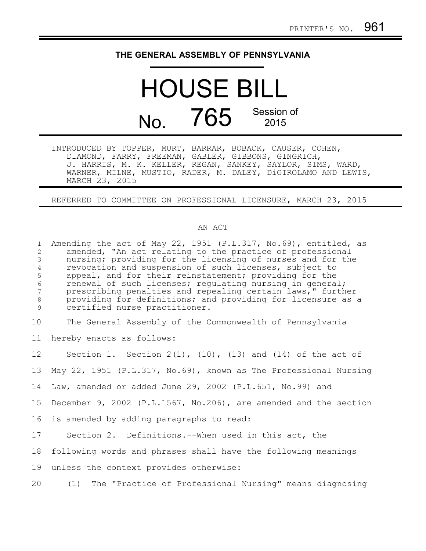## **THE GENERAL ASSEMBLY OF PENNSYLVANIA**

## HOUSE BILL No. 765 Session of 2015

INTRODUCED BY TOPPER, MURT, BARRAR, BOBACK, CAUSER, COHEN, DIAMOND, FARRY, FREEMAN, GABLER, GIBBONS, GINGRICH, J. HARRIS, M. K. KELLER, REGAN, SANKEY, SAYLOR, SIMS, WARD, WARNER, MILNE, MUSTIO, RADER, M. DALEY, DiGIROLAMO AND LEWIS, MARCH 23, 2015

REFERRED TO COMMITTEE ON PROFESSIONAL LICENSURE, MARCH 23, 2015

## AN ACT

Amending the act of May 22, 1951 (P.L.317, No.69), entitled, as amended, "An act relating to the practice of professional nursing; providing for the licensing of nurses and for the revocation and suspension of such licenses, subject to appeal, and for their reinstatement; providing for the renewal of such licenses; regulating nursing in general; prescribing penalties and repealing certain laws," further providing for definitions; and providing for licensure as a certified nurse practitioner. The General Assembly of the Commonwealth of Pennsylvania hereby enacts as follows: Section 1. Section  $2(1)$ ,  $(10)$ ,  $(13)$  and  $(14)$  of the act of May 22, 1951 (P.L.317, No.69), known as The Professional Nursing Law, amended or added June 29, 2002 (P.L.651, No.99) and December 9, 2002 (P.L.1567, No.206), are amended and the section is amended by adding paragraphs to read: Section 2. Definitions.--When used in this act, the following words and phrases shall have the following meanings unless the context provides otherwise: (1) The "Practice of Professional Nursing" means diagnosing 1 2 3 4 5 6 7 8 9 10 11 12 13 14 15 16 17 18 19 20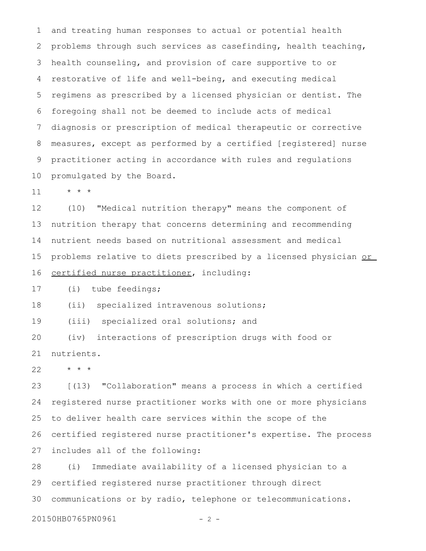and treating human responses to actual or potential health problems through such services as casefinding, health teaching, health counseling, and provision of care supportive to or restorative of life and well-being, and executing medical regimens as prescribed by a licensed physician or dentist. The foregoing shall not be deemed to include acts of medical diagnosis or prescription of medical therapeutic or corrective measures, except as performed by a certified [registered] nurse practitioner acting in accordance with rules and regulations promulgated by the Board. 1 2 3 4 5 6 7 8 9 10

\* \* \* 11

(10) "Medical nutrition therapy" means the component of nutrition therapy that concerns determining and recommending nutrient needs based on nutritional assessment and medical problems relative to diets prescribed by a licensed physician or certified nurse practitioner, including: 12 13 14 15 16

(i) tube feedings; 17

(ii) specialized intravenous solutions; 18

(iii) specialized oral solutions; and 19

(iv) interactions of prescription drugs with food or nutrients. 20 21

\* \* \* 22

[(13) "Collaboration" means a process in which a certified registered nurse practitioner works with one or more physicians to deliver health care services within the scope of the certified registered nurse practitioner's expertise. The process includes all of the following: 23 24 25 26 27

(i) Immediate availability of a licensed physician to a certified registered nurse practitioner through direct communications or by radio, telephone or telecommunications. 28 29 30

```
20150HB0765PN0961 - 2 -
```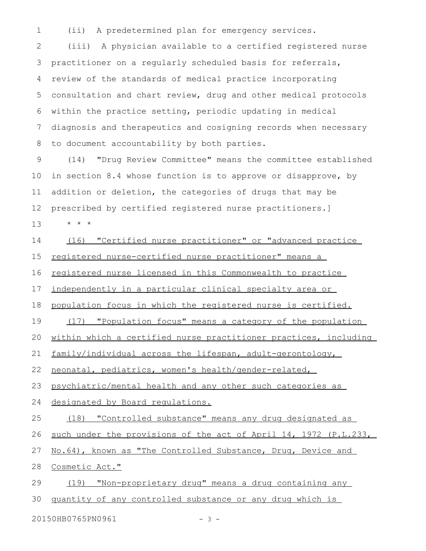(ii) A predetermined plan for emergency services. 1

(iii) A physician available to a certified registered nurse practitioner on a regularly scheduled basis for referrals, review of the standards of medical practice incorporating consultation and chart review, drug and other medical protocols within the practice setting, periodic updating in medical diagnosis and therapeutics and cosigning records when necessary to document accountability by both parties. 2 3 4 5 6 7 8

(14) "Drug Review Committee" means the committee established in section 8.4 whose function is to approve or disapprove, by addition or deletion, the categories of drugs that may be prescribed by certified registered nurse practitioners.] \* \* \* 9 10 11 12 13

(16) "Certified nurse practitioner" or "advanced practice registered nurse-certified nurse practitioner" means a registered nurse licensed in this Commonwealth to practice independently in a particular clinical specialty area or population focus in which the registered nurse is certified. (17) "Population focus" means a category of the population within which a certified nurse practitioner practices, including family/individual across the lifespan, adult-gerontology, neonatal, pediatrics, women's health/gender-related, psychiatric/mental health and any other such categories as designated by Board regulations. (18) "Controlled substance" means any drug designated as such under the provisions of the act of April 14, 1972 (P.L.233, No.64), known as "The Controlled Substance, Drug, Device and Cosmetic Act." (19) "Non-proprietary drug" means a drug containing any quantity of any controlled substance or any drug which is 14 15 16 17 18 19 20 21 22 23 24 25 26 27 28 29 30

20150HB0765PN0961 - 3 -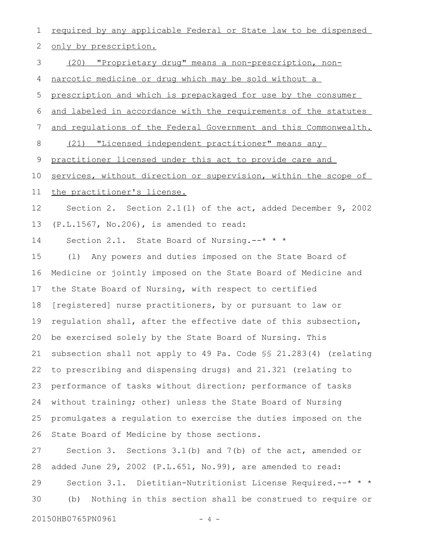required by any applicable Federal or State law to be dispensed only by prescription. (20) "Proprietary drug" means a non-prescription, nonnarcotic medicine or drug which may be sold without a prescription and which is prepackaged for use by the consumer and labeled in accordance with the requirements of the statutes and regulations of the Federal Government and this Commonwealth. (21) "Licensed independent practitioner" means any practitioner licensed under this act to provide care and services, without direction or supervision, within the scope of the practitioner's license. Section 2. Section 2.1(l) of the act, added December 9, 2002 (P.L.1567, No.206), is amended to read: Section 2.1. State Board of Nursing.--\* \* \* (l) Any powers and duties imposed on the State Board of Medicine or jointly imposed on the State Board of Medicine and the State Board of Nursing, with respect to certified [registered] nurse practitioners, by or pursuant to law or regulation shall, after the effective date of this subsection, be exercised solely by the State Board of Nursing. This subsection shall not apply to 49 Pa. Code §§ 21.283(4) (relating to prescribing and dispensing drugs) and 21.321 (relating to performance of tasks without direction; performance of tasks without training; other) unless the State Board of Nursing promulgates a regulation to exercise the duties imposed on the State Board of Medicine by those sections. Section 3. Sections 3.1(b) and 7(b) of the act, amended or added June 29, 2002 (P.L.651, No.99), are amended to read: Section 3.1. Dietitian-Nutritionist License Required.--\* \* \* (b) Nothing in this section shall be construed to require or 1 2 3 4 5 6 7 8 9 10 11 12 13 14 15 16 17 18 19 20 21 22 23 24 25 26 27 28 29 30

20150HB0765PN0961 - 4 -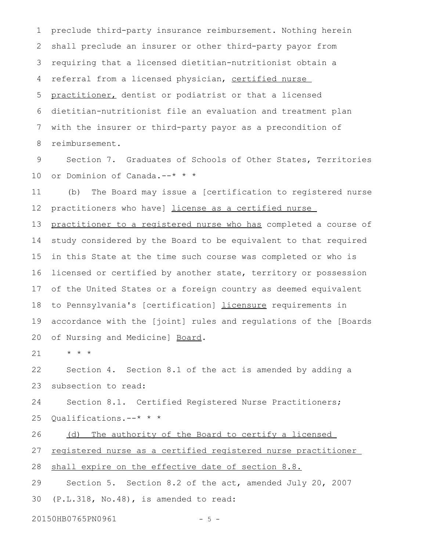preclude third-party insurance reimbursement. Nothing herein shall preclude an insurer or other third-party payor from requiring that a licensed dietitian-nutritionist obtain a referral from a licensed physician, certified nurse practitioner, dentist or podiatrist or that a licensed dietitian-nutritionist file an evaluation and treatment plan with the insurer or third-party payor as a precondition of reimbursement. 1 2 3 4 5 6 7 8

Section 7. Graduates of Schools of Other States, Territories or Dominion of Canada.--\* \* \* 9 10

(b) The Board may issue a [certification to registered nurse practitioners who have] license as a certified nurse 11 12

practitioner to a registered nurse who has completed a course of study considered by the Board to be equivalent to that required in this State at the time such course was completed or who is licensed or certified by another state, territory or possession of the United States or a foreign country as deemed equivalent to Pennsylvania's [certification] licensure requirements in accordance with the [joint] rules and regulations of the [Boards of Nursing and Medicine] Board. 13 14 15 16 17 18 19 20

\* \* \* 21

Section 4. Section 8.1 of the act is amended by adding a subsection to read: 22 23

Section 8.1. Certified Registered Nurse Practitioners; Qualifications.--\* \* \* 24 25

(d) The authority of the Board to certify a licensed 26

registered nurse as a certified registered nurse practitioner 27

shall expire on the effective date of section 8.8. 28

Section 5. Section 8.2 of the act, amended July 20, 2007 (P.L.318, No.48), is amended to read: 29 30

20150HB0765PN0961 - 5 -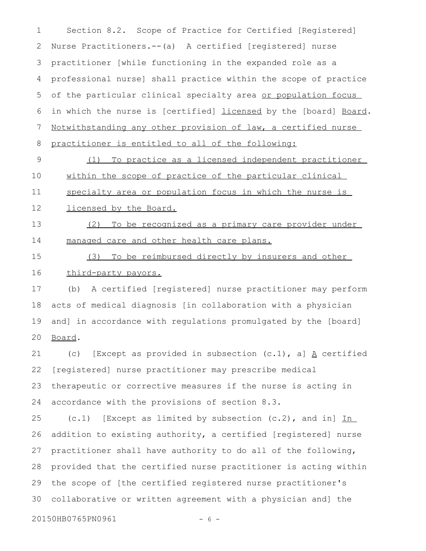Section 8.2. Scope of Practice for Certified [Registered] Nurse Practitioners.--(a) A certified [registered] nurse practitioner [while functioning in the expanded role as a professional nurse] shall practice within the scope of practice of the particular clinical specialty area or population focus in which the nurse is [certified] licensed by the [board] Board. Notwithstanding any other provision of law, a certified nurse practitioner is entitled to all of the following: (1) To practice as a licensed independent practitioner within the scope of practice of the particular clinical specialty area or population focus in which the nurse is licensed by the Board. (2) To be recognized as a primary care provider under managed care and other health care plans. 1 2 3 4 5 6 7 8 9 10 11 12 13 14

(3) To be reimbursed directly by insurers and other third-party payors. 15 16

(b) A certified [registered] nurse practitioner may perform acts of medical diagnosis [in collaboration with a physician and] in accordance with regulations promulgated by the [board] Board. 17 18 19 20

(c) [Except as provided in subsection  $(c.1)$ , a]  $\underline{A}$  certified [registered] nurse practitioner may prescribe medical therapeutic or corrective measures if the nurse is acting in accordance with the provisions of section 8.3. 21 22 23 24

 $(c.1)$  [Except as limited by subsection  $(c.2)$ , and in] In addition to existing authority, a certified [registered] nurse practitioner shall have authority to do all of the following, provided that the certified nurse practitioner is acting within the scope of [the certified registered nurse practitioner's collaborative or written agreement with a physician and] the 25 26 27 28 29 30

20150HB0765PN0961 - 6 -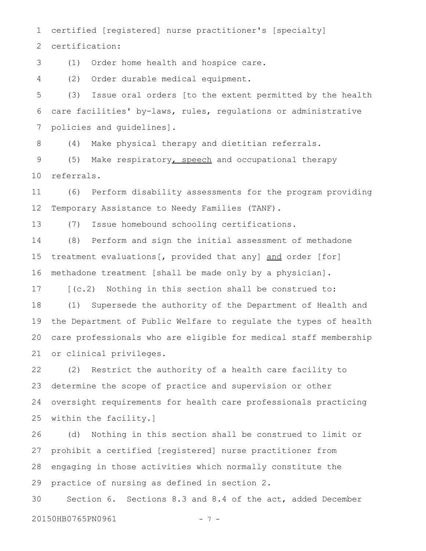certified [registered] nurse practitioner's [specialty] 1

certification: 2

(1) Order home health and hospice care. 3

(2) Order durable medical equipment. 4

(3) Issue oral orders [to the extent permitted by the health care facilities' by-laws, rules, regulations or administrative policies and guidelines]. 5 6 7

(4) Make physical therapy and dietitian referrals. 8

(5) Make respiratory, speech and occupational therapy referrals. 9 10

(6) Perform disability assessments for the program providing Temporary Assistance to Needy Families (TANF). 11 12

(7) Issue homebound schooling certifications. 13

(8) Perform and sign the initial assessment of methadone treatment evaluations[, provided that any] and order [for] methadone treatment [shall be made only by a physician]. 14 15 16

[(c.2) Nothing in this section shall be construed to: 17

(1) Supersede the authority of the Department of Health and the Department of Public Welfare to regulate the types of health care professionals who are eligible for medical staff membership or clinical privileges. 18 19 20 21

(2) Restrict the authority of a health care facility to determine the scope of practice and supervision or other oversight requirements for health care professionals practicing within the facility.] 22 23 24 25

(d) Nothing in this section shall be construed to limit or prohibit a certified [registered] nurse practitioner from engaging in those activities which normally constitute the practice of nursing as defined in section 2. 26 27 28 29

Section 6. Sections 8.3 and 8.4 of the act, added December 20150HB0765PN0961 - 7 -30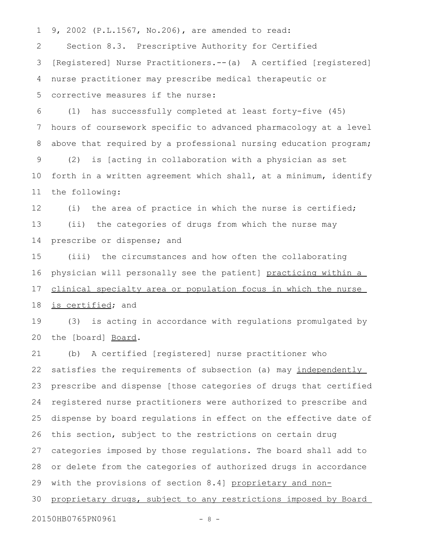9, 2002 (P.L.1567, No.206), are amended to read: 1

Section 8.3. Prescriptive Authority for Certified [Registered] Nurse Practitioners.--(a) A certified [registered] nurse practitioner may prescribe medical therapeutic or corrective measures if the nurse: 2 3 4 5

(1) has successfully completed at least forty-five (45) hours of coursework specific to advanced pharmacology at a level above that required by a professional nursing education program; (2) is [acting in collaboration with a physician as set forth in a written agreement which shall, at a minimum, identify the following: 6 7 8 9 10 11

(i) the area of practice in which the nurse is certified; (ii) the categories of drugs from which the nurse may prescribe or dispense; and 12 13 14

(iii) the circumstances and how often the collaborating physician will personally see the patient] practicing within a clinical specialty area or population focus in which the nurse is certified; and 15 16 17 18

(3) is acting in accordance with regulations promulgated by the [board] Board. 19 20

(b) A certified [registered] nurse practitioner who satisfies the requirements of subsection (a) may independently prescribe and dispense [those categories of drugs that certified registered nurse practitioners were authorized to prescribe and dispense by board regulations in effect on the effective date of this section, subject to the restrictions on certain drug categories imposed by those regulations. The board shall add to or delete from the categories of authorized drugs in accordance with the provisions of section 8.4] proprietary and nonproprietary drugs, subject to any restrictions imposed by Board 21 22 23 24 25 26 27 28 29 30

20150HB0765PN0961 - 8 -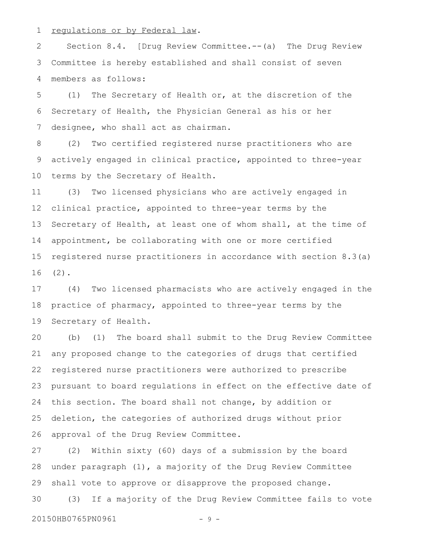regulations or by Federal law. 1

Section 8.4. [Drug Review Committee.--(a) The Drug Review Committee is hereby established and shall consist of seven members as follows: 2 3 4

(1) The Secretary of Health or, at the discretion of the Secretary of Health, the Physician General as his or her designee, who shall act as chairman. 5 6 7

(2) Two certified registered nurse practitioners who are actively engaged in clinical practice, appointed to three-year terms by the Secretary of Health. 8 9 10

(3) Two licensed physicians who are actively engaged in clinical practice, appointed to three-year terms by the Secretary of Health, at least one of whom shall, at the time of appointment, be collaborating with one or more certified registered nurse practitioners in accordance with section 8.3(a)  $(2)$ . 11 12 13 14 15 16

(4) Two licensed pharmacists who are actively engaged in the practice of pharmacy, appointed to three-year terms by the Secretary of Health. 17 18 19

(b) (1) The board shall submit to the Drug Review Committee any proposed change to the categories of drugs that certified registered nurse practitioners were authorized to prescribe pursuant to board regulations in effect on the effective date of this section. The board shall not change, by addition or deletion, the categories of authorized drugs without prior approval of the Drug Review Committee. 20 21 22 23 24 25 26

(2) Within sixty (60) days of a submission by the board under paragraph (1), a majority of the Drug Review Committee shall vote to approve or disapprove the proposed change. (3) If a majority of the Drug Review Committee fails to vote 27 28 29 30

20150HB0765PN0961 - 9 -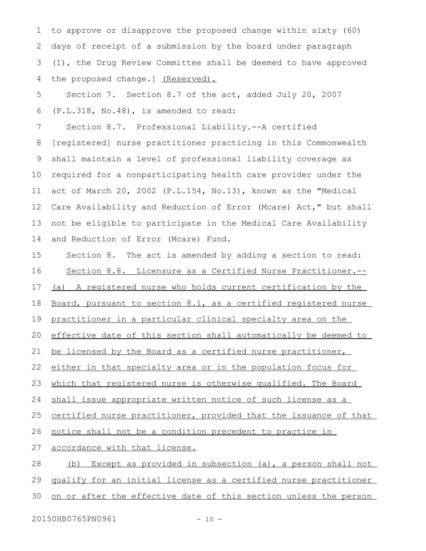to approve or disapprove the proposed change within sixty (60) days of receipt of a submission by the board under paragraph (1), the Drug Review Committee shall be deemed to have approved the proposed change.] (Reserved). 1 2 3 4

Section 7. Section 8.7 of the act, added July 20, 2007 (P.L.318, No.48), is amended to read: 5 6

Section 8.7. Professional Liability.--A certified [registered] nurse practitioner practicing in this Commonwealth shall maintain a level of professional liability coverage as required for a nonparticipating health care provider under the act of March 20, 2002 (P.L.154, No.13), known as the "Medical Care Availability and Reduction of Error (Mcare) Act," but shall not be eligible to participate in the Medical Care Availability and Reduction of Error (Mcare) Fund. 7 8 9 10 11 12 13 14

Section 8. The act is amended by adding a section to read: Section 8.8. Licensure as a Certified Nurse Practitioner.-- (a) A registered nurse who holds current certification by the Board, pursuant to section 8.1, as a certified registered nurse practitioner in a particular clinical specialty area on the effective date of this section shall automatically be deemed to be licensed by the Board as a certified nurse practitioner, either in that specialty area or in the population focus for which that registered nurse is otherwise qualified. The Board shall issue appropriate written notice of such license as a certified nurse practitioner, provided that the issuance of that notice shall not be a condition precedent to practice in accordance with that license. (b) Except as provided in subsection (a), a person shall not qualify for an initial license as a certified nurse practitioner 15 16 17 18 19 20 21 22 23 24 25 26 27 28 29

on or after the effective date of this section unless the person 30

20150HB0765PN0961 - 10 -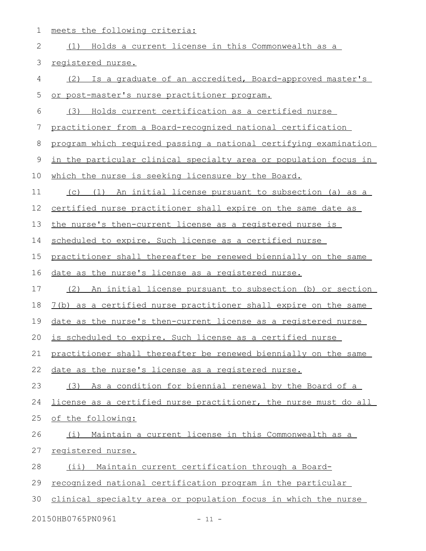1 meets the following criteria:

| $\mathbf{2}$ | (1) Holds a current license in this Commonwealth as a                   |
|--------------|-------------------------------------------------------------------------|
| 3            | registered nurse.                                                       |
| 4            | Is a graduate of an accredited, Board-approved master's<br>(2)          |
| 5            | or post-master's nurse practitioner program.                            |
| 6            | Holds current certification as a certified nurse<br>(3)                 |
| 7            | practitioner from a Board-recognized national certification             |
| 8            | program which required passing a national certifying examination        |
| $\mathsf 9$  | <u>in the particular clinical specialty area or population focus in</u> |
| 10           | which the nurse is seeking licensure by the Board.                      |
| 11           | (c) (1) An initial license pursuant to subsection (a) as a              |
| 12           | certified nurse practitioner shall expire on the same date as           |
| 13           | the nurse's then-current license as a registered nurse is               |
| 14           | scheduled to expire. Such license as a certified nurse                  |
| 15           | practitioner shall thereafter be renewed biennially on the same         |
| 16           | date as the nurse's license as a registered nurse.                      |
| 17           | (2)<br>An initial license pursuant to subsection (b) or section         |
| 18           | 7(b) as a certified nurse practitioner shall expire on the same         |
| 19           | date as the nurse's then-current license as a registered nurse          |
| 20           | is scheduled to expire. Such license as a certified nurse               |
| 21           | practitioner shall thereafter be renewed biennially on the same         |
| 22           | date as the nurse's license as a registered nurse.                      |
| 23           | (3) As a condition for biennial renewal by the Board of a               |
| 24           | license as a certified nurse practitioner, the nurse must do all        |
| 25           | of the following:                                                       |
| 26           | (i) Maintain a current license in this Commonwealth as a                |
| 27           | registered nurse.                                                       |
| 28           | (ii) Maintain current certification through a Board-                    |
| 29           | recognized national certification program in the particular             |
| 30           | clinical specialty area or population focus in which the nurse          |
|              | 20150HB0765PN0961<br>$-11 -$                                            |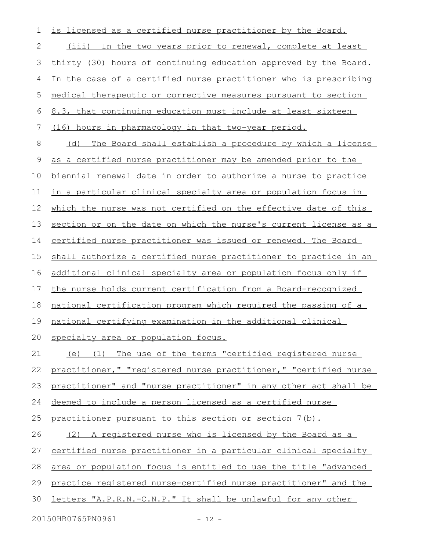is licensed as a certified nurse practitioner by the Board. (iii) In the two years prior to renewal, complete at least thirty (30) hours of continuing education approved by the Board. In the case of a certified nurse practitioner who is prescribing medical therapeutic or corrective measures pursuant to section 8.3, that continuing education must include at least sixteen (16) hours in pharmacology in that two-year period. (d) The Board shall establish a procedure by which a license as a certified nurse practitioner may be amended prior to the biennial renewal date in order to authorize a nurse to practice in a particular clinical specialty area or population focus in which the nurse was not certified on the effective date of this section or on the date on which the nurse's current license as a certified nurse practitioner was issued or renewed. The Board shall authorize a certified nurse practitioner to practice in an additional clinical specialty area or population focus only if the nurse holds current certification from a Board-recognized national certification program which required the passing of a national certifying examination in the additional clinical specialty area or population focus. (e) (1) The use of the terms "certified registered nurse practitioner," "registered nurse practitioner," "certified nurse practitioner" and "nurse practitioner" in any other act shall be deemed to include a person licensed as a certified nurse practitioner pursuant to this section or section 7(b). (2) A registered nurse who is licensed by the Board as a certified nurse practitioner in a particular clinical specialty area or population focus is entitled to use the title "advanced practice registered nurse-certified nurse practitioner" and the letters "A.P.R.N.-C.N.P." It shall be unlawful for any other 20150HB0765PN0961 - 12 -1 2 3 4 5 6 7 8 9 10 11 12 13 14 15 16 17 18 19 20 21 22 23 24 25 26 27 28 29 30